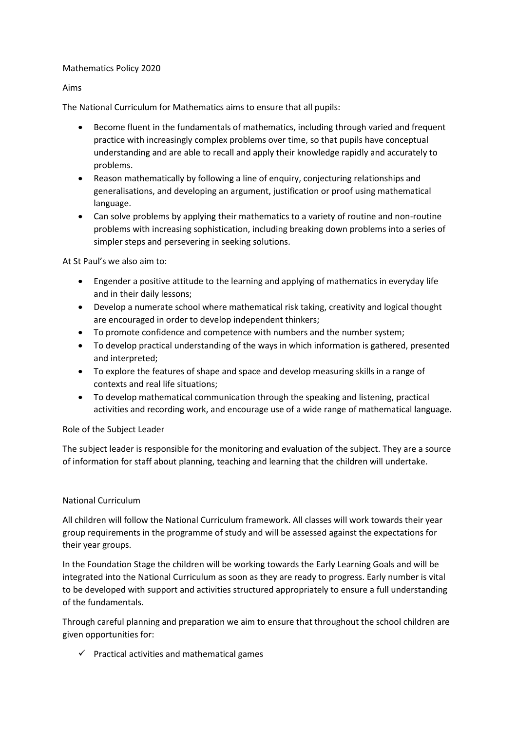### Mathematics Policy 2020

Aims

The National Curriculum for Mathematics aims to ensure that all pupils:

- Become fluent in the fundamentals of mathematics, including through varied and frequent practice with increasingly complex problems over time, so that pupils have conceptual understanding and are able to recall and apply their knowledge rapidly and accurately to problems.
- Reason mathematically by following a line of enquiry, conjecturing relationships and generalisations, and developing an argument, justification or proof using mathematical language.
- Can solve problems by applying their mathematics to a variety of routine and non-routine problems with increasing sophistication, including breaking down problems into a series of simpler steps and persevering in seeking solutions.

At St Paul's we also aim to:

- Engender a positive attitude to the learning and applying of mathematics in everyday life and in their daily lessons;
- Develop a numerate school where mathematical risk taking, creativity and logical thought are encouraged in order to develop independent thinkers;
- To promote confidence and competence with numbers and the number system;
- To develop practical understanding of the ways in which information is gathered, presented and interpreted;
- To explore the features of shape and space and develop measuring skills in a range of contexts and real life situations;
- To develop mathematical communication through the speaking and listening, practical activities and recording work, and encourage use of a wide range of mathematical language.

# Role of the Subject Leader

The subject leader is responsible for the monitoring and evaluation of the subject. They are a source of information for staff about planning, teaching and learning that the children will undertake.

# National Curriculum

All children will follow the National Curriculum framework. All classes will work towards their year group requirements in the programme of study and will be assessed against the expectations for their year groups.

In the Foundation Stage the children will be working towards the Early Learning Goals and will be integrated into the National Curriculum as soon as they are ready to progress. Early number is vital to be developed with support and activities structured appropriately to ensure a full understanding of the fundamentals.

Through careful planning and preparation we aim to ensure that throughout the school children are given opportunities for:

 $\checkmark$  Practical activities and mathematical games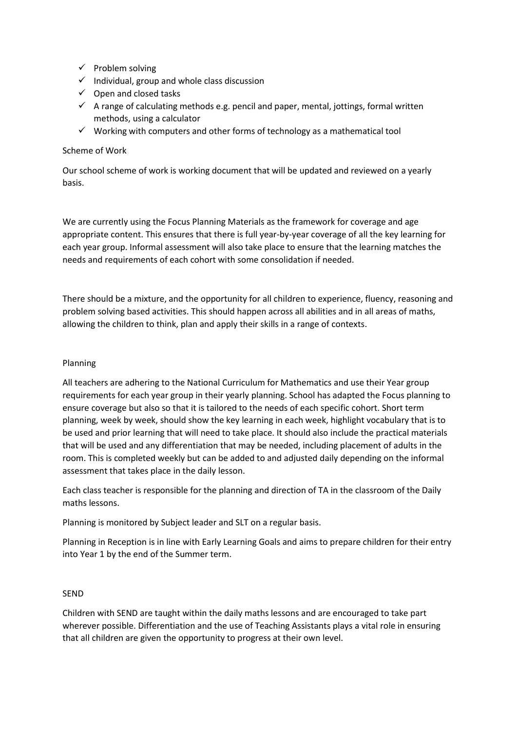- $\checkmark$  Problem solving
- $\checkmark$  Individual, group and whole class discussion
- $\checkmark$  Open and closed tasks
- $\checkmark$  A range of calculating methods e.g. pencil and paper, mental, jottings, formal written methods, using a calculator
- $\checkmark$  Working with computers and other forms of technology as a mathematical tool

## Scheme of Work

Our school scheme of work is working document that will be updated and reviewed on a yearly basis.

We are currently using the Focus Planning Materials as the framework for coverage and age appropriate content. This ensures that there is full year-by-year coverage of all the key learning for each year group. Informal assessment will also take place to ensure that the learning matches the needs and requirements of each cohort with some consolidation if needed.

There should be a mixture, and the opportunity for all children to experience, fluency, reasoning and problem solving based activities. This should happen across all abilities and in all areas of maths, allowing the children to think, plan and apply their skills in a range of contexts.

### Planning

All teachers are adhering to the National Curriculum for Mathematics and use their Year group requirements for each year group in their yearly planning. School has adapted the Focus planning to ensure coverage but also so that it is tailored to the needs of each specific cohort. Short term planning, week by week, should show the key learning in each week, highlight vocabulary that is to be used and prior learning that will need to take place. It should also include the practical materials that will be used and any differentiation that may be needed, including placement of adults in the room. This is completed weekly but can be added to and adjusted daily depending on the informal assessment that takes place in the daily lesson.

Each class teacher is responsible for the planning and direction of TA in the classroom of the Daily maths lessons.

Planning is monitored by Subject leader and SLT on a regular basis.

Planning in Reception is in line with Early Learning Goals and aims to prepare children for their entry into Year 1 by the end of the Summer term.

#### SEND

Children with SEND are taught within the daily maths lessons and are encouraged to take part wherever possible. Differentiation and the use of Teaching Assistants plays a vital role in ensuring that all children are given the opportunity to progress at their own level.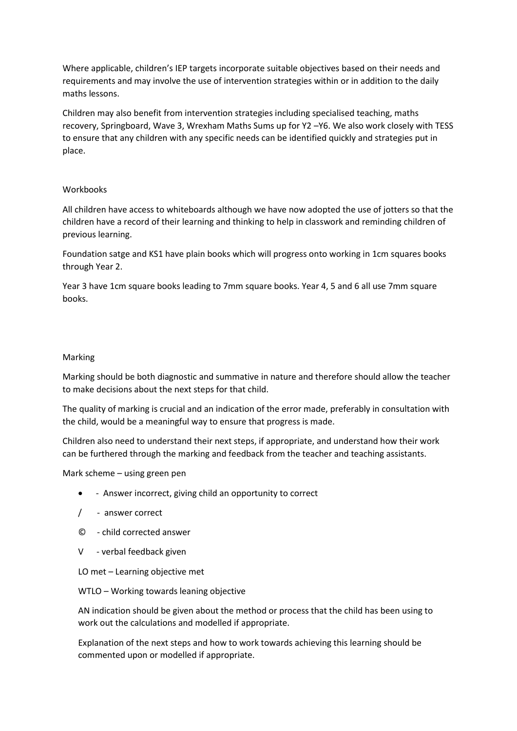Where applicable, children's IEP targets incorporate suitable objectives based on their needs and requirements and may involve the use of intervention strategies within or in addition to the daily maths lessons.

Children may also benefit from intervention strategies including specialised teaching, maths recovery, Springboard, Wave 3, Wrexham Maths Sums up for Y2 –Y6. We also work closely with TESS to ensure that any children with any specific needs can be identified quickly and strategies put in place.

#### Workbooks

All children have access to whiteboards although we have now adopted the use of jotters so that the children have a record of their learning and thinking to help in classwork and reminding children of previous learning.

Foundation satge and KS1 have plain books which will progress onto working in 1cm squares books through Year 2.

Year 3 have 1cm square books leading to 7mm square books. Year 4, 5 and 6 all use 7mm square books.

#### Marking

Marking should be both diagnostic and summative in nature and therefore should allow the teacher to make decisions about the next steps for that child.

The quality of marking is crucial and an indication of the error made, preferably in consultation with the child, would be a meaningful way to ensure that progress is made.

Children also need to understand their next steps, if appropriate, and understand how their work can be furthered through the marking and feedback from the teacher and teaching assistants.

Mark scheme – using green pen

- Answer incorrect, giving child an opportunity to correct
- / answer correct
- © child corrected answer
- V verbal feedback given

LO met – Learning objective met

WTLO – Working towards leaning objective

AN indication should be given about the method or process that the child has been using to work out the calculations and modelled if appropriate.

Explanation of the next steps and how to work towards achieving this learning should be commented upon or modelled if appropriate.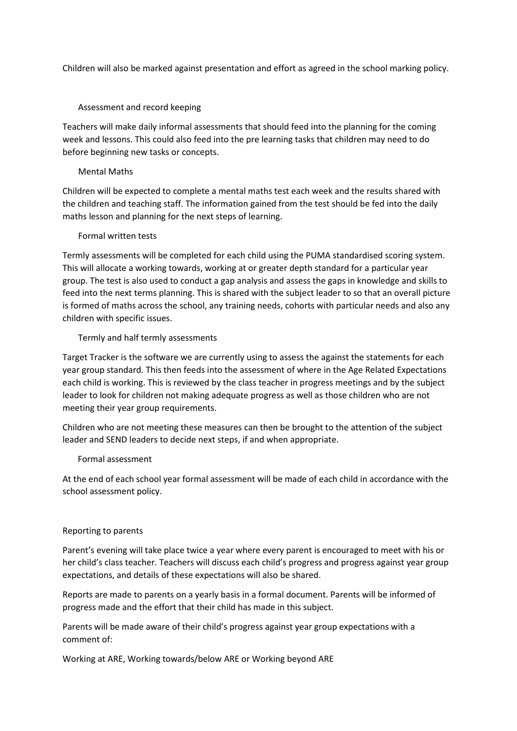Children will also be marked against presentation and effort as agreed in the school marking policy.

Assessment and record keeping

Teachers will make daily informal assessments that should feed into the planning for the coming week and lessons. This could also feed into the pre learning tasks that children may need to do before beginning new tasks or concepts.

### Mental Maths

Children will be expected to complete a mental maths test each week and the results shared with the children and teaching staff. The information gained from the test should be fed into the daily maths lesson and planning for the next steps of learning.

### Formal written tests

Termly assessments will be completed for each child using the PUMA standardised scoring system. This will allocate a working towards, working at or greater depth standard for a particular year group. The test is also used to conduct a gap analysis and assess the gaps in knowledge and skills to feed into the next terms planning. This is shared with the subject leader to so that an overall picture is formed of maths across the school, any training needs, cohorts with particular needs and also any children with specific issues.

### Termly and half termly assessments

Target Tracker is the software we are currently using to assess the against the statements for each year group standard. This then feeds into the assessment of where in the Age Related Expectations each child is working. This is reviewed by the class teacher in progress meetings and by the subject leader to look for children not making adequate progress as well as those children who are not meeting their year group requirements.

Children who are not meeting these measures can then be brought to the attention of the subject leader and SEND leaders to decide next steps, if and when appropriate.

#### Formal assessment

At the end of each school year formal assessment will be made of each child in accordance with the school assessment policy.

#### Reporting to parents

Parent's evening will take place twice a year where every parent is encouraged to meet with his or her child's class teacher. Teachers will discuss each child's progress and progress against year group expectations, and details of these expectations will also be shared.

Reports are made to parents on a yearly basis in a formal document. Parents will be informed of progress made and the effort that their child has made in this subject.

Parents will be made aware of their child's progress against year group expectations with a comment of:

Working at ARE, Working towards/below ARE or Working beyond ARE